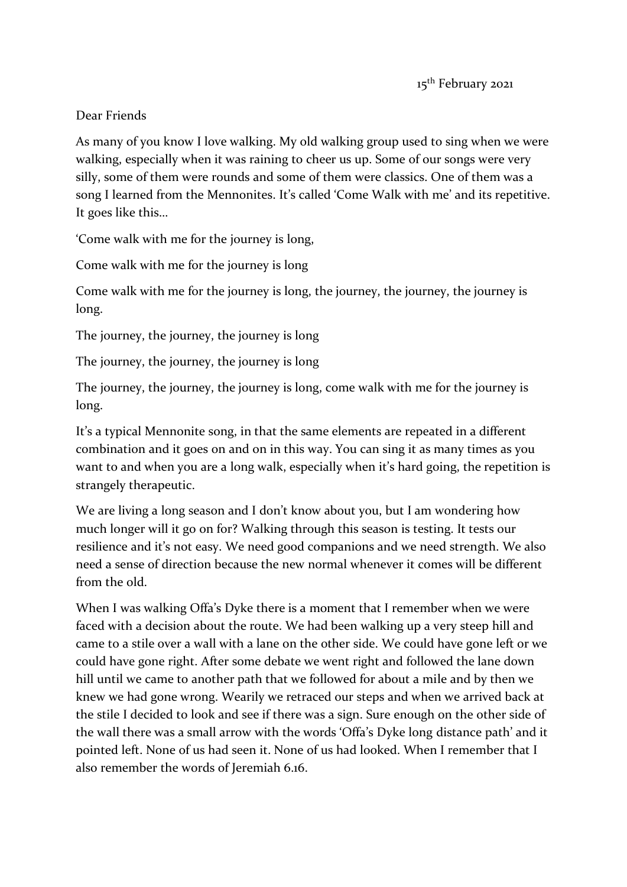## Dear Friends

As many of you know I love walking. My old walking group used to sing when we were walking, especially when it was raining to cheer us up. Some of our songs were very silly, some of them were rounds and some of them were classics. One of them was a song I learned from the Mennonites. It's called 'Come Walk with me' and its repetitive. It goes like this…

'Come walk with me for the journey is long,

Come walk with me for the journey is long

Come walk with me for the journey is long, the journey, the journey, the journey is long.

The journey, the journey, the journey is long

The journey, the journey, the journey is long

The journey, the journey, the journey is long, come walk with me for the journey is long.

It's a typical Mennonite song, in that the same elements are repeated in a different combination and it goes on and on in this way. You can sing it as many times as you want to and when you are a long walk, especially when it's hard going, the repetition is strangely therapeutic.

We are living a long season and I don't know about you, but I am wondering how much longer will it go on for? Walking through this season is testing. It tests our resilience and it's not easy. We need good companions and we need strength. We also need a sense of direction because the new normal whenever it comes will be different from the old.

When I was walking Offa's Dyke there is a moment that I remember when we were faced with a decision about the route. We had been walking up a very steep hill and came to a stile over a wall with a lane on the other side. We could have gone left or we could have gone right. After some debate we went right and followed the lane down hill until we came to another path that we followed for about a mile and by then we knew we had gone wrong. Wearily we retraced our steps and when we arrived back at the stile I decided to look and see if there was a sign. Sure enough on the other side of the wall there was a small arrow with the words 'Offa's Dyke long distance path' and it pointed left. None of us had seen it. None of us had looked. When I remember that I also remember the words of Jeremiah 6.16.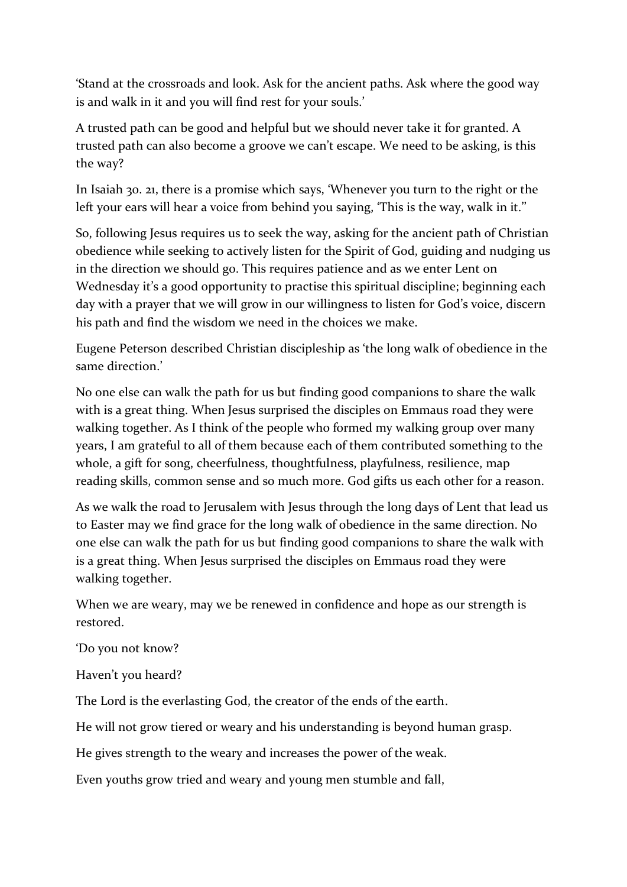'Stand at the crossroads and look. Ask for the ancient paths. Ask where the good way is and walk in it and you will find rest for your souls.'

A trusted path can be good and helpful but we should never take it for granted. A trusted path can also become a groove we can't escape. We need to be asking, is this the way?

In Isaiah 30. 21, there is a promise which says, 'Whenever you turn to the right or the left your ears will hear a voice from behind you saying, 'This is the way, walk in it.''

So, following Jesus requires us to seek the way, asking for the ancient path of Christian obedience while seeking to actively listen for the Spirit of God, guiding and nudging us in the direction we should go. This requires patience and as we enter Lent on Wednesday it's a good opportunity to practise this spiritual discipline; beginning each day with a prayer that we will grow in our willingness to listen for God's voice, discern his path and find the wisdom we need in the choices we make.

Eugene Peterson described Christian discipleship as 'the long walk of obedience in the same direction.'

No one else can walk the path for us but finding good companions to share the walk with is a great thing. When Jesus surprised the disciples on Emmaus road they were walking together. As I think of the people who formed my walking group over many years, I am grateful to all of them because each of them contributed something to the whole, a gift for song, cheerfulness, thoughtfulness, playfulness, resilience, map reading skills, common sense and so much more. God gifts us each other for a reason.

As we walk the road to Jerusalem with Jesus through the long days of Lent that lead us to Easter may we find grace for the long walk of obedience in the same direction. No one else can walk the path for us but finding good companions to share the walk with is a great thing. When Jesus surprised the disciples on Emmaus road they were walking together.

When we are weary, may we be renewed in confidence and hope as our strength is restored.

'Do you not know?

Haven't you heard?

The Lord is the everlasting God, the creator of the ends of the earth.

He will not grow tiered or weary and his understanding is beyond human grasp.

He gives strength to the weary and increases the power of the weak.

Even youths grow tried and weary and young men stumble and fall,